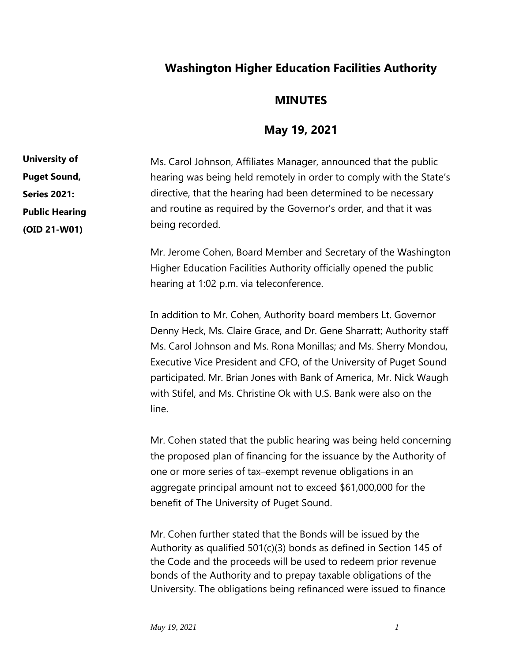## **Washington Higher Education Facilities Authority**

## **MINUTES**

## **May 19, 2021**

Ms. Carol Johnson, Affiliates Manager, announced that the public hearing was being held remotely in order to comply with the State's directive, that the hearing had been determined to be necessary and routine as required by the Governor's order, and that it was being recorded. **University of Puget Sound, Series 2021: Public Hearing** 

> Mr. Jerome Cohen, Board Member and Secretary of the Washington Higher Education Facilities Authority officially opened the public hearing at 1:02 p.m. via teleconference.

> In addition to Mr. Cohen, Authority board members Lt. Governor Denny Heck, Ms. Claire Grace, and Dr. Gene Sharratt; Authority staff Ms. Carol Johnson and Ms. Rona Monillas; and Ms. Sherry Mondou, Executive Vice President and CFO, of the University of Puget Sound participated. Mr. Brian Jones with Bank of America, Mr. Nick Waugh with Stifel, and Ms. Christine Ok with U.S. Bank were also on the line.

> Mr. Cohen stated that the public hearing was being held concerning the proposed plan of financing for the issuance by the Authority of one or more series of tax–exempt revenue obligations in an aggregate principal amount not to exceed \$61,000,000 for the benefit of The University of Puget Sound.

Mr. Cohen further stated that the Bonds will be issued by the Authority as qualified 501(c)(3) bonds as defined in Section 145 of the Code and the proceeds will be used to redeem prior revenue bonds of the Authority and to prepay taxable obligations of the University. The obligations being refinanced were issued to finance

**(OID 21-W01)**